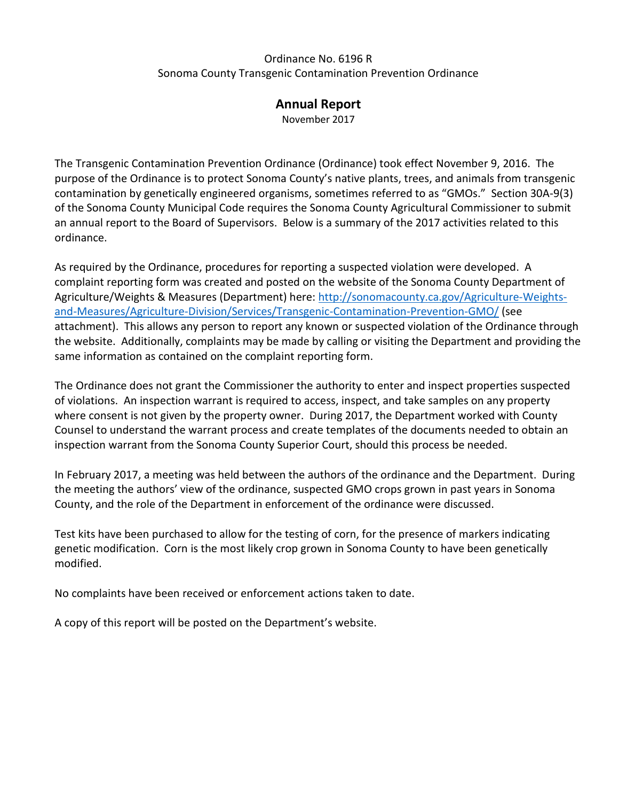#### Sonoma County Transgenic Contamination Prevention Ordinance Ordinance No. 6196 R

### **Annual Report**

November 2017

 The Transgenic Contamination Prevention Ordinance (Ordinance) took effect November 9, 2016. The purpose of the Ordinance is to protect Sonoma County's native plants, trees, and animals from transgenic contamination by genetically engineered organisms, sometimes referred to as "GMOs." Section 30A-9(3) an annual report to the Board of Supervisors. Below is a summary of the 2017 activities related to this of the Sonoma County Municipal Code requires the Sonoma County Agricultural Commissioner to submit ordinance.

 attachment). This allows any person to report any known or suspected violation of the Ordinance through the website. Additionally, complaints may be made by calling or visiting the Department and providing the same information as contained on the complaint reporting form. As required by the Ordinance, procedures for reporting a suspected violation were developed. A complaint reporting form was created and posted on the website of the Sonoma County Department of Agriculture/Weights & Measures (Department) here: [http://sonomacounty.ca.gov/Agriculture-Weights](http://sonomacounty.ca.gov/Agriculture-Weights-and-Measures/Agriculture-Division/Services/Transgenic-Contamination-Prevention-GMO/)[and-Measures/Agriculture-Division/Services/Transgenic-Contamination-Prevention-GMO/](http://sonomacounty.ca.gov/Agriculture-Weights-and-Measures/Agriculture-Division/Services/Transgenic-Contamination-Prevention-GMO/) (see

same information as contained on the complaint reporting form.<br>The Ordinance does not grant the Commissioner the authority to enter and inspect properties suspected of violations. An inspection warrant is required to access, inspect, and take samples on any property where consent is not given by the property owner. During 2017, the Department worked with County inspection warrant from the Sonoma County Superior Court, should this process be needed. Counsel to understand the warrant process and create templates of the documents needed to obtain an

In February 2017, a meeting was held between the authors of the ordinance and the Department. During the meeting the authors' view of the ordinance, suspected GMO crops grown in past years in Sonoma County, and the role of the Department in enforcement of the ordinance were discussed.

 genetic modification. Corn is the most likely crop grown in Sonoma County to have been genetically modified. Test kits have been purchased to allow for the testing of corn, for the presence of markers indicating

No complaints have been received or enforcement actions taken to date.

A copy of this report will be posted on the Department's website.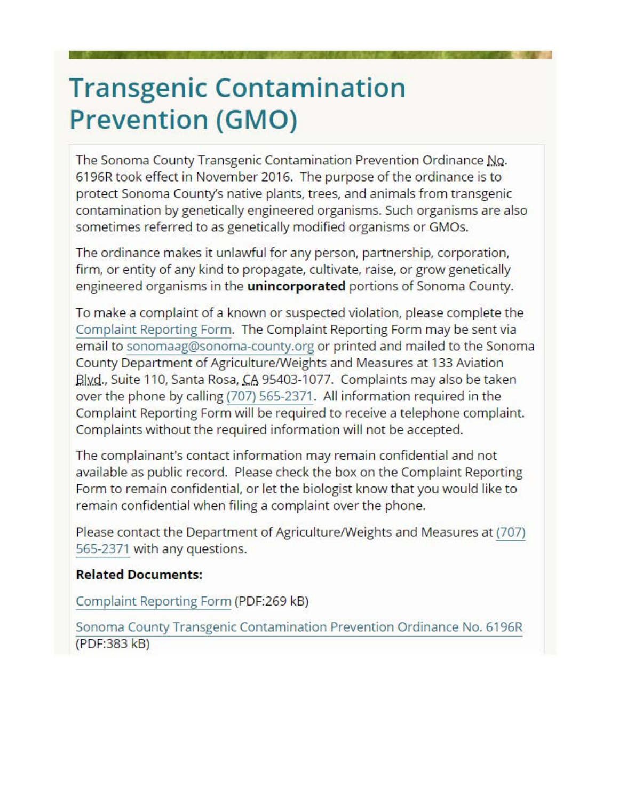# **Transgenic Contamination Prevention (GMO)**

The Sonoma County Transgenic Contamination Prevention Ordinance No. 6196R took effect in November 2016. The purpose of the ordinance is to protect Sonoma County's native plants, trees, and animals from transgenic contamination by genetically engineered organisms. Such organisms are also sometimes referred to as genetically modified organisms or GMOs.

The ordinance makes it unlawful for any person, partnership, corporation, firm, or entity of any kind to propagate, cultivate, raise, or grow genetically engineered organisms in the **unincorporated** portions of Sonoma County.

To make a complaint of a known or suspected violation, please complete the Complaint Reporting Form. The Complaint Reporting Form may be sent via email to sonomaag@sonoma-county.org or printed and mailed to the Sonoma County Department of Agriculture/Weights and Measures at 133 Aviation Blyd., Suite 110, Santa Rosa, CA 95403-1077. Complaints may also be taken over the phone by calling (707) 565-2371. All information required in the Complaint Reporting Form will be required to receive a telephone complaint. Complaints without the required information will not be accepted.

The complainant's contact information may remain confidential and not available as public record. Please check the box on the Complaint Reporting Form to remain confidential, or let the biologist know that you would like to remain confidential when filing a complaint over the phone.

Please contact the Department of Agriculture/Weights and Measures at (707) 565-2371 with any questions.

## **Related Documents:**

Complaint Reporting Form (PDF:269 kB)

Sonoma County Transgenic Contamination Prevention Ordinance No. 6196R (PDF:383 kB)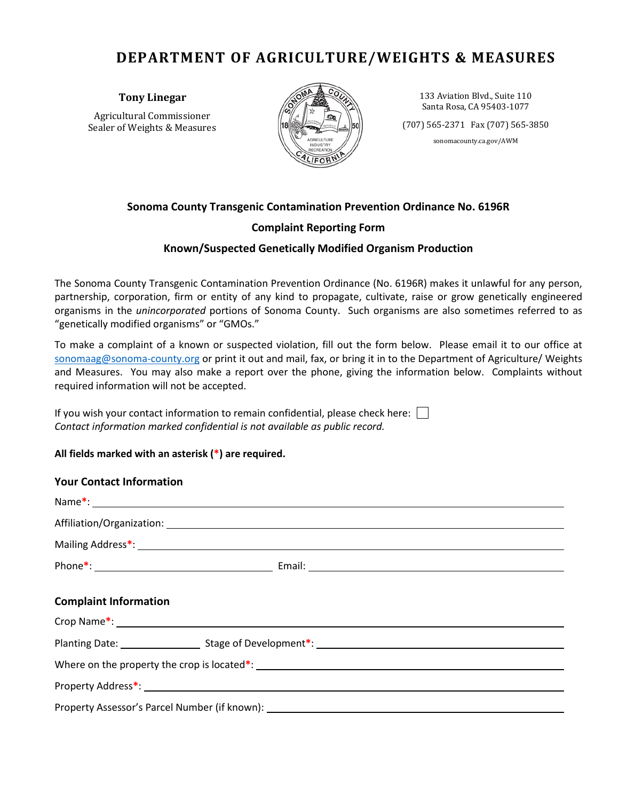# **DEPARTMENT OF AGRICULTURE/WEIGHTS & MEASURES**

**Tony Linegar** 

Agricultural Commissioner Sealer of Weights & Measures



133 Aviation Blvd., Suite 110 Santa Rosa, CA 95403-1077

(707) 565-2371 Fax (707) 565-3850

#### **Sonoma County Transgenic Contamination Prevention Ordinance No. 6196R**

#### **Complaint Reporting Form**

#### **Known/Suspected Genetically Modified Organism Production**

#### **All fields marked with an asterisk (\*) are required.**

| Sealer of Weights & Measures                                                                                                                                                                                                                                                                                                                                                             | <b>AGRICULTURE</b><br>INDUSTRY                                        | $(707)$ 565-2371 Fax $(707)$ 565-3850<br>sonomacounty.ca.gov/AWM |
|------------------------------------------------------------------------------------------------------------------------------------------------------------------------------------------------------------------------------------------------------------------------------------------------------------------------------------------------------------------------------------------|-----------------------------------------------------------------------|------------------------------------------------------------------|
|                                                                                                                                                                                                                                                                                                                                                                                          | Sonoma County Transgenic Contamination Prevention Ordinance No. 6196R |                                                                  |
|                                                                                                                                                                                                                                                                                                                                                                                          | <b>Complaint Reporting Form</b>                                       |                                                                  |
|                                                                                                                                                                                                                                                                                                                                                                                          | Known/Suspected Genetically Modified Organism Production              |                                                                  |
| The Sonoma County Transgenic Contamination Prevention Ordinance (No. 6196R) makes it unlawful for any pers<br>partnership, corporation, firm or entity of any kind to propagate, cultivate, raise or grow genetically enginee<br>organisms in the unincorporated portions of Sonoma County. Such organisms are also sometimes referred to<br>"genetically modified organisms" or "GMOs." |                                                                       |                                                                  |
| To make a complaint of a known or suspected violation, fill out the form below. Please email it to our office<br>sonomaag@sonoma-county.org or print it out and mail, fax, or bring it in to the Department of Agriculture/ Weig<br>and Measures. You may also make a report over the phone, giving the information below. Complaints with<br>required information will not be accepted. |                                                                       |                                                                  |
| If you wish your contact information to remain confidential, please check here:<br>Contact information marked confidential is not available as public record.                                                                                                                                                                                                                            |                                                                       |                                                                  |
| All fields marked with an asterisk (*) are required.                                                                                                                                                                                                                                                                                                                                     |                                                                       |                                                                  |
| <b>Your Contact Information</b>                                                                                                                                                                                                                                                                                                                                                          |                                                                       |                                                                  |
| Name*: Name *:                                                                                                                                                                                                                                                                                                                                                                           |                                                                       |                                                                  |
|                                                                                                                                                                                                                                                                                                                                                                                          |                                                                       |                                                                  |
| Mailing Address*:                                                                                                                                                                                                                                                                                                                                                                        |                                                                       |                                                                  |
|                                                                                                                                                                                                                                                                                                                                                                                          |                                                                       |                                                                  |
| <b>Complaint Information</b>                                                                                                                                                                                                                                                                                                                                                             |                                                                       |                                                                  |
|                                                                                                                                                                                                                                                                                                                                                                                          |                                                                       |                                                                  |
|                                                                                                                                                                                                                                                                                                                                                                                          |                                                                       |                                                                  |
|                                                                                                                                                                                                                                                                                                                                                                                          |                                                                       |                                                                  |
|                                                                                                                                                                                                                                                                                                                                                                                          |                                                                       |                                                                  |
|                                                                                                                                                                                                                                                                                                                                                                                          |                                                                       |                                                                  |